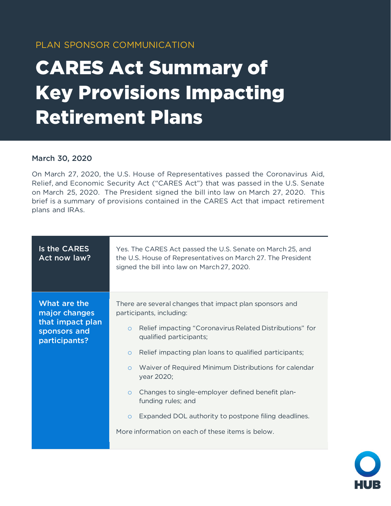## PLAN SPONSOR COMMUNICATION

## CARES Act Summary of Key Provisions Impacting Retirement Plans

## March 30, 2020

On March 27, 2020, the U.S. House of Representatives passed the Coronavirus Aid, Relief, and Economic Security Act ("CARES Act") that was passed in the U.S. Senate on March 25, 2020. The President signed the bill into law on March 27, 2020. This brief is a summary of provisions contained in the CARES Act that impact retirement plans and IRAs.

| Is the CARES<br>Act now law?                                                       | Yes. The CARES Act passed the U.S. Senate on March 25, and<br>the U.S. House of Representatives on March 27. The President<br>signed the bill into law on March 27, 2020.                                                                                                                                                                                                                                                                                                                                                                                 |
|------------------------------------------------------------------------------------|-----------------------------------------------------------------------------------------------------------------------------------------------------------------------------------------------------------------------------------------------------------------------------------------------------------------------------------------------------------------------------------------------------------------------------------------------------------------------------------------------------------------------------------------------------------|
| What are the<br>major changes<br>that impact plan<br>sponsors and<br>participants? | There are several changes that impact plan sponsors and<br>participants, including:<br>Relief impacting "Coronavirus Related Distributions" for<br>$\circ$<br>qualified participants;<br>Relief impacting plan loans to qualified participants;<br>$\circ$<br>Waiver of Required Minimum Distributions for calendar<br>$\circ$<br>year 2020;<br>Changes to single-employer defined benefit plan-<br>$\circ$<br>funding rules; and<br>Expanded DOL authority to postpone filing deadlines.<br>$\circ$<br>More information on each of these items is below. |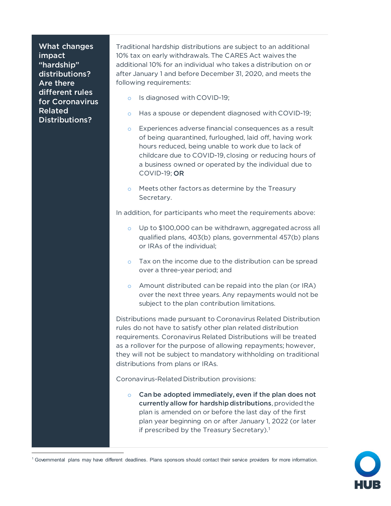What changes impact "hardship" distributions? Are there different rules for Coronavirus Related Distributions?

1

Traditional hardship distributions are subject to an additional 10% tax on early withdrawals. The CARES Act waives the additional 10% for an individual who takes a distribution on or after January 1 and before December 31, 2020, and meets the following requirements:

- o Is diagnosed with COVID-19;
- o Has a spouse or dependent diagnosed with COVID-19;
- o Experiences adverse financial consequences as a result of being quarantined, furloughed, laid off, having work hours reduced, being unable to work due to lack of childcare due to COVID-19, closing or reducing hours of a business owned or operated by the individual due to COVID-19; OR
- o Meets other factors as determine by the Treasury Secretary.

In addition, for participants who meet the requirements above:

- o Up to \$100,000 can be withdrawn, aggregated across all qualified plans, 403(b) plans, governmental 457(b) plans or IRAs of the individual;
- o Tax on the income due to the distribution can be spread over a three-year period; and
- o Amount distributed can be repaid into the plan (or IRA) over the next three years. Any repayments would not be subject to the plan contribution limitations.

Distributions made pursuant to Coronavirus Related Distribution rules do not have to satisfy other plan related distribution requirements. Coronavirus Related Distributions will be treated as a rollover for the purpose of allowing repayments; however, they will not be subject to mandatory withholding on traditional distributions from plans or IRAs.

Coronavirus-Related Distribution provisions:

 $\circ$  Can be adopted immediately, even if the plan does not currently allow for hardship distributions, provided the plan is amended on or before the last day of the first plan year beginning on or after January 1, 2022 (or later if prescribed by the Treasury Secretary).<sup>[1](#page-1-0)</sup>



<span id="page-1-0"></span><sup>1</sup> Governmental plans may have different deadlines. Plans sponsors should contact their service providers for more information.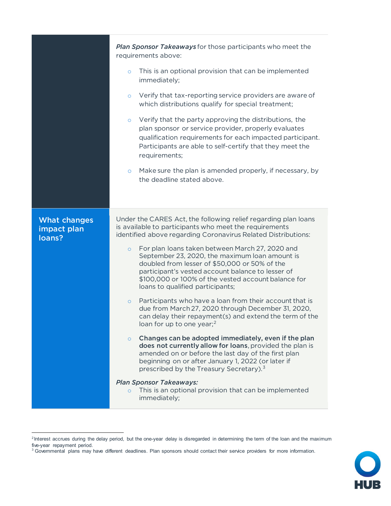|                                              | Plan Sponsor Takeaways for those participants who meet the<br>requirements above:<br>This is an optional provision that can be implemented<br>$\circ$<br>immediately;<br>Verify that tax-reporting service providers are aware of<br>$\circ$<br>which distributions qualify for special treatment;<br>Verify that the party approving the distributions, the<br>$\circ$<br>plan sponsor or service provider, properly evaluates<br>qualification requirements for each impacted participant.<br>Participants are able to self-certify that they meet the<br>requirements;                                                                                                                                                                                                                                                                                                                                                                                                                                                                                                                                                                                           |
|----------------------------------------------|---------------------------------------------------------------------------------------------------------------------------------------------------------------------------------------------------------------------------------------------------------------------------------------------------------------------------------------------------------------------------------------------------------------------------------------------------------------------------------------------------------------------------------------------------------------------------------------------------------------------------------------------------------------------------------------------------------------------------------------------------------------------------------------------------------------------------------------------------------------------------------------------------------------------------------------------------------------------------------------------------------------------------------------------------------------------------------------------------------------------------------------------------------------------|
|                                              | Make sure the plan is amended properly, if necessary, by<br>$\circ$<br>the deadline stated above.                                                                                                                                                                                                                                                                                                                                                                                                                                                                                                                                                                                                                                                                                                                                                                                                                                                                                                                                                                                                                                                                   |
| <b>What changes</b><br>impact plan<br>loans? | Under the CARES Act, the following relief regarding plan loans<br>is available to participants who meet the requirements<br>identified above regarding Coronavirus Related Distributions:<br>For plan loans taken between March 27, 2020 and<br>$\circ$<br>September 23, 2020, the maximum loan amount is<br>doubled from lesser of \$50,000 or 50% of the<br>participant's vested account balance to lesser of<br>\$100,000 or 100% of the vested account balance for<br>loans to qualified participants;<br>Participants who have a loan from their account that is<br>$\circ$<br>due from March 27, 2020 through December 31, 2020,<br>can delay their repayment(s) and extend the term of the<br>loan for up to one year; <sup>2</sup><br>Changes can be adopted immediately, even if the plan<br>$\circ$<br>does not currently allow for loans, provided the plan is<br>amended on or before the last day of the first plan<br>beginning on or after January 1, 2022 (or later if<br>prescribed by the Treasury Secretary). <sup>3</sup><br><b>Plan Sponsor Takeaways:</b><br>This is an optional provision that can be implemented<br>$\circ$<br>immediately; |

 $\overline{a}$ 



<span id="page-2-0"></span><sup>&</sup>lt;sup>2</sup> Interest accrues during the delay period, but the one-year delay is disregarded in determining the term of the loan and the maximum five-year repayment period.

<span id="page-2-1"></span><sup>&</sup>lt;sup>3</sup> Governmental plans may have different deadlines. Plan sponsors should contact their service providers for more information.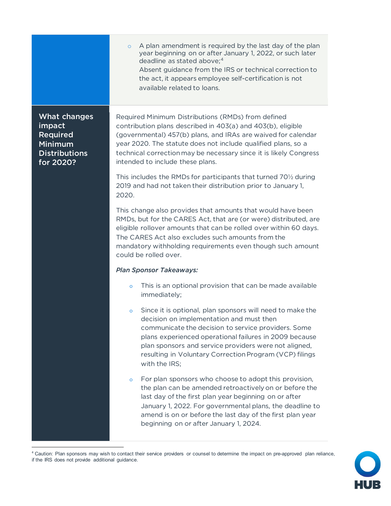|                                                                                                  | A plan amendment is required by the last day of the plan<br>$\circ$<br>year beginning on or after January 1, 2022, or such later<br>deadline as stated above; <sup>4</sup><br>Absent guidance from the IRS or technical correction to<br>the act, it appears employee self-certification is not<br>available related to loans.                                         |
|--------------------------------------------------------------------------------------------------|------------------------------------------------------------------------------------------------------------------------------------------------------------------------------------------------------------------------------------------------------------------------------------------------------------------------------------------------------------------------|
| What changes<br>impact<br><b>Required</b><br><b>Minimum</b><br><b>Distributions</b><br>for 2020? | Required Minimum Distributions (RMDs) from defined<br>contribution plans described in 403(a) and 403(b), eligible<br>(governmental) 457(b) plans, and IRAs are waived for calendar<br>year 2020. The statute does not include qualified plans, so a<br>technical correction may be necessary since it is likely Congress<br>intended to include these plans.           |
|                                                                                                  | This includes the RMDs for participants that turned 701/2 during<br>2019 and had not taken their distribution prior to January 1,<br>2020.                                                                                                                                                                                                                             |
|                                                                                                  | This change also provides that amounts that would have been<br>RMDs, but for the CARES Act, that are (or were) distributed, are<br>eligible rollover amounts that can be rolled over within 60 days.<br>The CARES Act also excludes such amounts from the<br>mandatory withholding requirements even though such amount<br>could be rolled over.                       |
|                                                                                                  | <b>Plan Sponsor Takeaways:</b>                                                                                                                                                                                                                                                                                                                                         |
|                                                                                                  | This is an optional provision that can be made available<br>$\circ$<br>immediately;                                                                                                                                                                                                                                                                                    |
|                                                                                                  | Since it is optional, plan sponsors will need to make the<br>$\circ$<br>decision on implementation and must then<br>communicate the decision to service providers. Some<br>plans experienced operational failures in 2009 because<br>plan sponsors and service providers were not aligned,<br>resulting in Voluntary Correction Program (VCP) filings<br>with the IRS; |
|                                                                                                  | For plan sponsors who choose to adopt this provision,<br>$\circ$<br>the plan can be amended retroactively on or before the<br>last day of the first plan year beginning on or after<br>January 1, 2022. For governmental plans, the deadline to<br>amend is on or before the last day of the first plan year<br>beginning on or after January 1, 2024.                 |

<span id="page-3-0"></span><sup>4</sup> Caution: Plan sponsors may wish to contact their service providers or counsel to determine the impact on pre-approved plan reliance,

1

if the IRS does not provide additional guidance.

 $\bullet$ **HUB**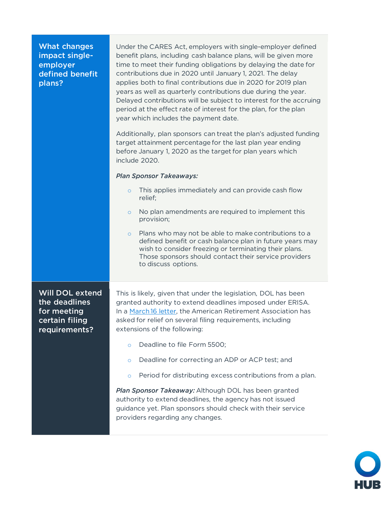| <b>What changes</b><br>impact single-<br>employer<br>defined benefit<br>plans?            | Under the CARES Act, employers with single-employer defined<br>benefit plans, including cash balance plans, will be given more<br>time to meet their funding obligations by delaying the date for<br>contributions due in 2020 until January 1, 2021. The delay<br>applies both to final contributions due in 2020 for 2019 plan<br>years as well as quarterly contributions due during the year.<br>Delayed contributions will be subject to interest for the accruing<br>period at the effect rate of interest for the plan, for the plan<br>year which includes the payment date.<br>Additionally, plan sponsors can treat the plan's adjusted funding<br>target attainment percentage for the last plan year ending<br>before January 1, 2020 as the target for plan years which<br>include 2020.<br><b>Plan Sponsor Takeaways:</b><br>This applies immediately and can provide cash flow<br>$\circ$<br>relief;<br>No plan amendments are required to implement this<br>$\circ$<br>provision;<br>Plans who may not be able to make contributions to a<br>$\circ$<br>defined benefit or cash balance plan in future years may<br>wish to consider freezing or terminating their plans.<br>Those sponsors should contact their service providers<br>to discuss options. |
|-------------------------------------------------------------------------------------------|---------------------------------------------------------------------------------------------------------------------------------------------------------------------------------------------------------------------------------------------------------------------------------------------------------------------------------------------------------------------------------------------------------------------------------------------------------------------------------------------------------------------------------------------------------------------------------------------------------------------------------------------------------------------------------------------------------------------------------------------------------------------------------------------------------------------------------------------------------------------------------------------------------------------------------------------------------------------------------------------------------------------------------------------------------------------------------------------------------------------------------------------------------------------------------------------------------------------------------------------------------------------------|
| <b>Will DOL extend</b><br>the deadlines<br>for meeting<br>certain filing<br>requirements? | This is likely, given that under the legislation, DOL has been<br>granted authority to extend deadlines imposed under ERISA.<br>In a March 16 letter, the American Retirement Association has<br>asked for relief on several filing requirements, including<br>extensions of the following:<br>Deadline to file Form 5500;<br>$\circ$                                                                                                                                                                                                                                                                                                                                                                                                                                                                                                                                                                                                                                                                                                                                                                                                                                                                                                                                     |
|                                                                                           | Deadline for correcting an ADP or ACP test; and<br>$\circ$                                                                                                                                                                                                                                                                                                                                                                                                                                                                                                                                                                                                                                                                                                                                                                                                                                                                                                                                                                                                                                                                                                                                                                                                                |
|                                                                                           | Period for distributing excess contributions from a plan.                                                                                                                                                                                                                                                                                                                                                                                                                                                                                                                                                                                                                                                                                                                                                                                                                                                                                                                                                                                                                                                                                                                                                                                                                 |
|                                                                                           | $\circ$                                                                                                                                                                                                                                                                                                                                                                                                                                                                                                                                                                                                                                                                                                                                                                                                                                                                                                                                                                                                                                                                                                                                                                                                                                                                   |
|                                                                                           | Plan Sponsor Takeaway: Although DOL has been granted<br>authority to extend deadlines, the agency has not issued<br>guidance yet. Plan sponsors should check with their service<br>providers regarding any changes.                                                                                                                                                                                                                                                                                                                                                                                                                                                                                                                                                                                                                                                                                                                                                                                                                                                                                                                                                                                                                                                       |